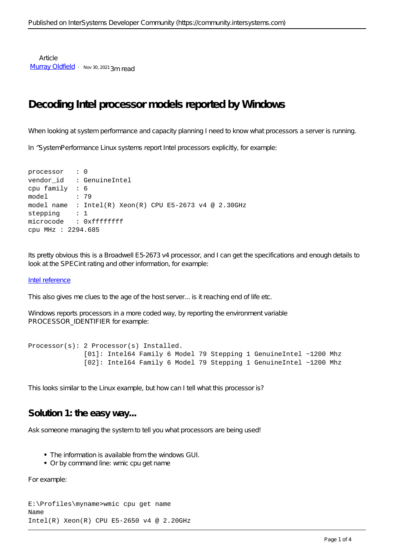**Article** [Murray Oldfield](https://community.intersystems.com/user/murray-oldfield) · Nov 30, 2021 3m read

# **Decoding Intel processor models reported by Windows**

When looking at system performance and capacity planning I need to know what processors a server is running.

In  $^{\wedge}$ SystemPerformance Linux systems report Intel processors explicitly, for example:

```
processor : 0
vendor id : GenuineIntel
cpu family : 6
model : 79
model name : Intel(R) Xeon(R) CPU E5-2673 v4 @ 2.30GHz
stepping : 1
microcode : 0xffffffff
cpu MHz : 2294.685
```
Its pretty obvious this is a Broadwell E5-2673 v4 processor, and I can get the specifications and enough details to look at the SPECint rating and other information, for example:

#### [Intel reference](https://ark.intel.com/content/www/us/en/ark/products/91755/intel-xeon-processor-e52697-v4-45m-cache-2-30-ghz.html)

This also gives me clues to the age of the host server... is it reaching end of life etc.

Windows reports processors in a more coded way, by reporting the environment variable PROCESSOR\_IDENTIFIER for example:

```
Processor(s): 2 Processor(s) Installed.
               [01]: Intel64 Family 6 Model 79 Stepping 1 GenuineIntel ~1200 Mhz
               [02]: Intel64 Family 6 Model 79 Stepping 1 GenuineIntel ~1200 Mhz
```
This looks similar to the Linux example, but how can I tell what this processor is?

### **Solution 1: the easy way...**

Ask someone managing the system to tell you what processors are being used!

- The information is available from the windows GUI.
- Or by command line: wmic cpu get name

For example:

```
E:\Profiles\myname>wmic cpu get name
Name
Intel(R) Xeon(R) CPU E5-2650 v4 @ 2.20GHz
```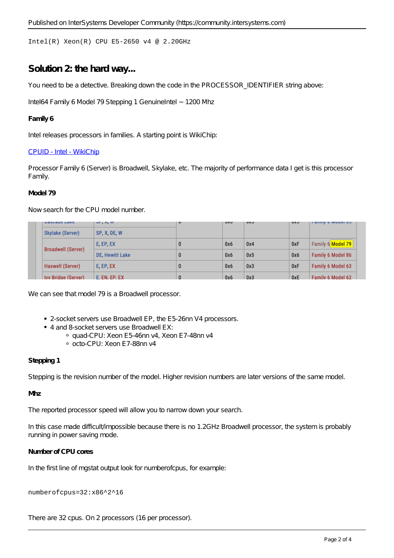Intel(R) Xeon(R) CPU E5-2650 v4 @ 2.20GHz

### **Solution 2: the hard way...**

You need to be a detective. Breaking down the code in the PROCESSOR\_IDENTIFIER string above:

Intel64 Family 6 Model 79 Stepping 1 GenuineIntel ~1200 Mhz

#### **Family 6**

Intel releases processors in families. A starting point is WikiChip:

#### [CPUID - Intel - WikiChip](https://en.wikichip.org/wiki/intel/cpuid#Family_6)

Processor Family 6 (Server) is Broadwell, Skylake, etc. The majority of performance data I get is this processor Family.

#### **Model 79**

Now search for the CPU model number.

|  | <b>UGSUGUE LANE</b>       | UT, N, W           | v | <b>UAU</b> | <b>UAU</b> | <b>UAU</b> | <b>I GITTIN A IMMACI AN</b> |  |
|--|---------------------------|--------------------|---|------------|------------|------------|-----------------------------|--|
|  | Skylake (Server)          | SP. X. DE. W       |   |            |            |            |                             |  |
|  | <b>Broadwell (Server)</b> | E. EP. EX          |   | 0x6        | 0x4        | 0xF        | Family 6 Model 79           |  |
|  |                           | DE, Hewitt Lake    |   | 0x6        | 0x5        | 0x6        | Family 6 Model 86           |  |
|  | Haswell (Server)          | E, EP, EX          |   | 0x6        | 0x3        | 0xF        | Family 6 Model 63           |  |
|  | Ivy Bridge (Server)       | <b>E.FN.FP.FX.</b> |   | 0x6        | 0x3        | 0xE        | Family 6 Model 62           |  |

We can see that model 79 is a Broadwell processor.

- 2-socket servers use Broadwell EP, the E5-26nn V4 processors.
- 4 and 8-socket servers use Broadwell EX:
	- quad-CPU: Xeon E5-46nn v4, Xeon E7-48nn v4
	- octo-CPU: Xeon E7-88nn v4

#### **Stepping 1**

Stepping is the revision number of the model. Higher revision numbers are later versions of the same model.

#### **Mhz**

The reported processor speed will allow you to narrow down your search.

In this case made difficult/impossible because there is no 1.2GHz Broadwell processor, the system is probably running in power saving mode.

#### **Number of CPU cores**

In the first line of mgstat output look for *numberofcpus, for example:*

#### numberofcpus=32:x86^2^16

There are 32 cpus. On 2 processors (16 per processor).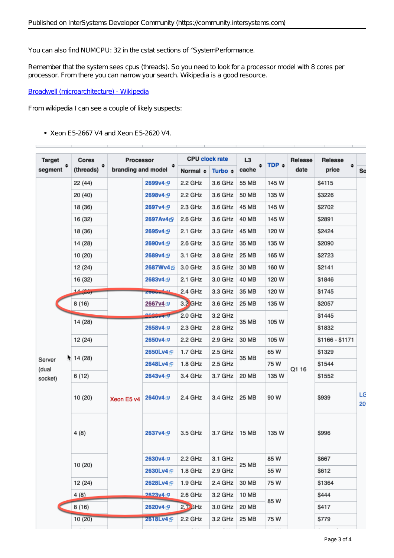You can also find NUMCPU: 32 in the cstat sections of  $^{\prime}$ SystemPerformance.

Remember that the system sees cpus (threads). So you need to look for a processor model with 8 *cores* per processor. From there you can narrow your search. Wikipedia is a good resource.

[Broadwell \(microarchitecture\) - Wikipedia](https://en.wikipedia.org/wiki/Broadwell_(microarchitecture))

From wikipedia I can see a couple of likely suspects:

Xeon E5-2667 V4 and Xeon E5-2620 V4.

| <b>Target</b>                                            | Cores            | Processor<br>branding and model |                      | <b>CPU clock rate</b> |              | L <sub>3</sub> |            | Release | Release         |          |
|----------------------------------------------------------|------------------|---------------------------------|----------------------|-----------------------|--------------|----------------|------------|---------|-----------------|----------|
| segment $\stackrel{\text{\large\textsf{*}}}{\phantom{}}$ | ÷<br>(threads)   |                                 |                      | Normal $\div$         | Turbo $\div$ | ٠<br>cache     | TDP $\div$ | date    | ٠<br>price      | Sc       |
|                                                          | 22 (44)          |                                 | 2699v4 <sub>图</sub>  | 2.2 GHz               | 3.6 GHz      | 55 MB          | 145 W      |         | \$4115          |          |
|                                                          | 20 (40)          |                                 | 2698v4 <sub>5</sub>  | 2.2 GHz               | 3.6 GHz      | 50 MB          | 135 W      |         | \$3226          |          |
|                                                          | 18 (36)          |                                 | 2697v4 囤             | 2.3 GHz               | 3.6 GHz      | 45 MB          | 145 W      |         | \$2702          |          |
|                                                          | 16 (32)          |                                 | 2697Av4 <sub>5</sub> | 2.6 GHz               | 3.6 GHz      | 40 MB          | 145 W      |         | \$2891          |          |
|                                                          | 18 (36)          |                                 | 2695v4 <sub>5</sub>  | 2.1 GHz               | 3.3 GHz      | 45 MB          | 120 W      | Q1 16   | \$2424          |          |
|                                                          | 14 (28)          |                                 | 2690v4 <sub>图</sub>  | 2.6 GHz               | 3.5 GHz      | 35 MB          | 135 W      |         | \$2090          |          |
|                                                          | 10 (20)          |                                 | 2689v4 <sub>图</sub>  | 3.1 GHz               | 3.8 GHz      | 25 MB          | 165 W      |         | \$2723          |          |
|                                                          | 12 (24)          |                                 | 2687Wv4 <sub>图</sub> | 3.0 GHz               | 3.5 GHz      | 30 MB          | 160 W      |         | \$2141          |          |
|                                                          | 16 (32)          |                                 | 2683v4 <sub>5</sub>  | 2.1 GHz               | 3.0 GHz      | 40 MB          | 120 W      |         | \$1846          |          |
|                                                          | $\frac{14}{100}$ |                                 | <b>ZOOUVALLE</b>     | 2.4 GHz               | 3.3 GHz      | 35 MB          | 120 W      |         | \$1745          |          |
|                                                          | 8 (16)           |                                 | 2667v4 囤             | $3.2$ GHz             | 3.6 GHz      | 25 MB          | 135 W      |         | \$2057          |          |
|                                                          |                  |                                 | <b>AGGuys E</b>      | 2.0 GHz               | 3.2 GHz      | 35 MB          | 105 W      |         | \$1445          |          |
|                                                          | 14 (28)          | Xeon E5 v4                      | 2658v4 <sub>5</sub>  | 2.3 GHz               | 2.8 GHz      |                |            |         | \$1832          |          |
|                                                          | 12 (24)          |                                 | 2650v4 <sub>图</sub>  | 2.2 GHz               | 2.9 GHz      | 30 MB          | 105 W      |         | \$1166 - \$1171 |          |
|                                                          | 14(28)           |                                 | 2650Lv4 <sub>图</sub> | 1.7 GHz               | 2.5 GHz      | 35 MB          | 65 W       |         | \$1329          |          |
| Server<br>(dual                                          |                  |                                 | 2648Lv4 <sub>图</sub> | 1.8 GHz               | 2.5 GHz      |                | 75 W       |         | \$1544          |          |
| socket)                                                  | 6 (12)           |                                 | 2643v4 <sub>5</sub>  | 3.4 GHz               | 3.7 GHz      | 20 MB          | 135 W      |         | \$1552          |          |
|                                                          | 10 (20)          |                                 | 2640v4 B             | 2.4 GHz               | 3.4 GHz      | 25 MB          | 90 W       |         | \$939           | LG<br>20 |
|                                                          | 4(8)             |                                 | 2637v4 囤             | 3.5 GHz               | 3.7 GHz      | 15 MB          | 135 W      |         | \$996           |          |
|                                                          | 10 (20)          |                                 | 2630v4 <sub>图</sub>  | 2.2 GHz               | 3.1 GHz      |                | 85 W       |         | \$667           |          |
|                                                          |                  |                                 | 2630Lv4 <sub>图</sub> | 1.8 GHz               | $2.9$ GHz    | 25 MB          | 55 W       |         | \$612           |          |
|                                                          | 12 (24)          |                                 | 2628Lv4 <sub>图</sub> | 1.9 GHz               | 2.4 GHz      | 30 MB          | 75 W       |         | \$1364          |          |
|                                                          | 4(8)             |                                 | 2623v4 雨             | 2.6 GHz               | 3.2 GHz      | 10 MB          | 85 W       |         | \$444           |          |
|                                                          | 8 (16)           |                                 | 2620v4 <sub>5</sub>  | $2.1$ GHz             | 3.0 GHz      | 20 MB          |            |         | \$417           |          |
|                                                          | 10(20)           |                                 | 2618Lv4 <sub>图</sub> | 2.2 GHz               | 3.2 GHz      | 25 MB          | 75 W       |         | \$779           |          |